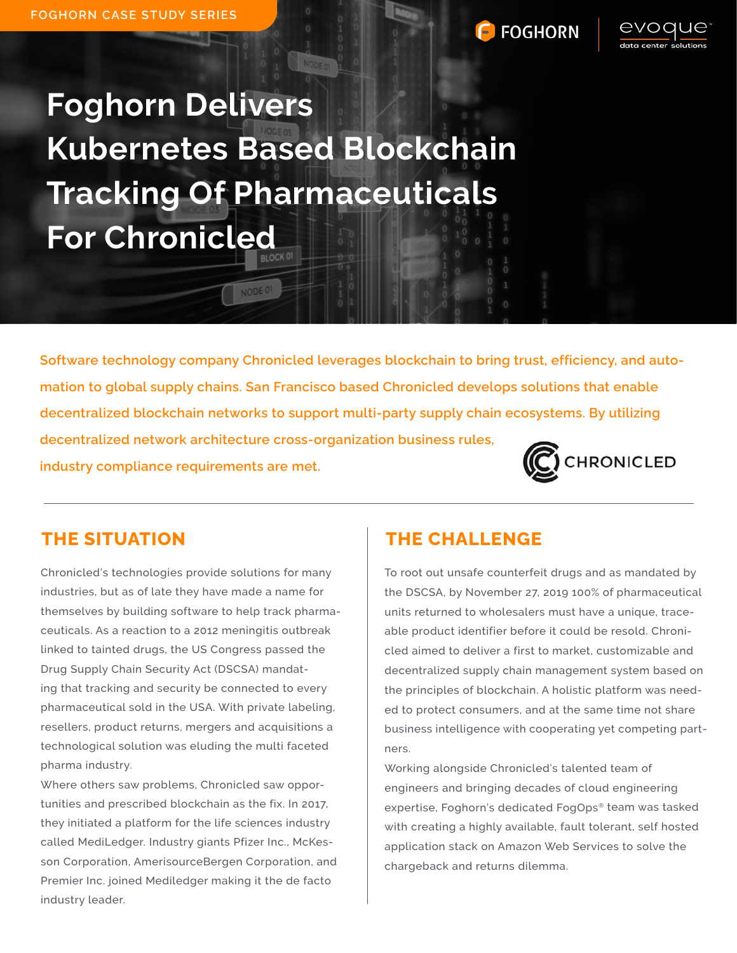## **FOGHORN**



**Foghorn Delivers Kubernetes Based Blockchain Tracking Of Pharmaceuticals For Chronicled**

NODE 01

Software technology company Chronicled leverages blockchain to bring trust, efficiency, and automation to global supply chains. San Francisco based Chronicled develops solutions that enable decentralized blockchain networks to support multi-party supply chain ecosystems. By utilizing decentralized network architecture cross-organization business rules, **CHRONICLED** industry compliance requirements are met.

Chronicled's technologies provide solutions for many industries, but as of late they have made a name for themselves by building software to help track pharmaceuticals. As a reaction to a 2012 meningitis outbreak linked to tainted drugs, the US Congress passed the Drug Supply Chain Security Act (DSCSA) mandating that tracking and security be connected to every pharmaceutical sold in the USA. With private labeling, resellers, product returns, mergers and acquisitions a technological solution was eluding the multi faceted pharma industry.

Where others saw problems, Chronicled saw opportunities and prescribed blockchain as the fix. In 2017, they initiated a platform for the life sciences industry called MediLedger. Industry giants Pfizer Inc., McKesson Corporation, AmerisourceBergen Corporation, and Premier Inc. joined Mediledger making it the de facto industry leader.

## THE SITUATION THE CHALLENGE

To root out unsafe counterfeit drugs and as mandated by the DSCSA, by November 27, 2019 100% of pharmaceutical units returned to wholesalers must have a unique, traceable product identifier before it could be resold. Chronicled aimed to deliver a first to market, customizable and decentralized supply chain management system based on the principles of blockchain. A holistic platform was needed to protect consumers, and at the same time not share business intelligence with cooperating yet competing partners.

Working alongside Chronicled's talented team of engineers and bringing decades of cloud engineering expertise, Foghorn's dedicated FogOps® team was tasked with creating a highly available, fault tolerant, self hosted application stack on Amazon Web Services to solve the chargeback and returns dilemma.